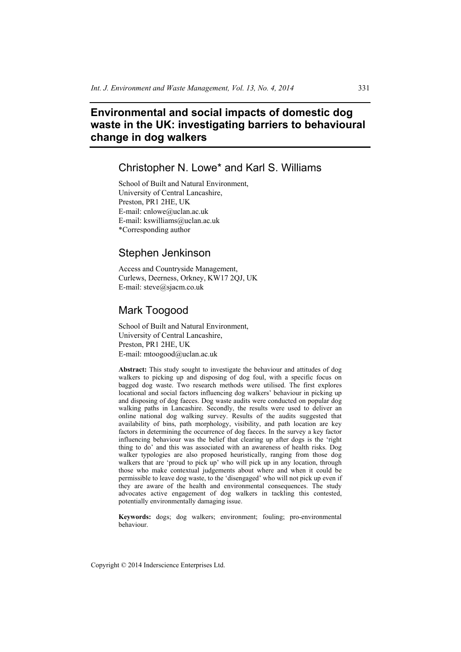# **Environmental and social impacts of domestic dog waste in the UK: investigating barriers to behavioural change in dog walkers**

# Christopher N. Lowe\* and Karl S. Williams

School of Built and Natural Environment, University of Central Lancashire, Preston, PR1 2HE, UK E-mail: cnlowe@uclan.ac.uk E-mail: kswilliams@uclan.ac.uk \*Corresponding author

## Stephen Jenkinson

Access and Countryside Management, Curlews, Deerness, Orkney, KW17 2QJ, UK E-mail: steve@sjacm.co.uk

# Mark Toogood

School of Built and Natural Environment, University of Central Lancashire, Preston, PR1 2HE, UK E-mail: mtoogood@uclan.ac.uk

**Abstract:** This study sought to investigate the behaviour and attitudes of dog walkers to picking up and disposing of dog foul, with a specific focus on bagged dog waste. Two research methods were utilised. The first explores locational and social factors influencing dog walkers' behaviour in picking up and disposing of dog faeces. Dog waste audits were conducted on popular dog walking paths in Lancashire. Secondly, the results were used to deliver an online national dog walking survey. Results of the audits suggested that availability of bins, path morphology, visibility, and path location are key factors in determining the occurrence of dog faeces. In the survey a key factor influencing behaviour was the belief that clearing up after dogs is the 'right thing to do' and this was associated with an awareness of health risks. Dog walker typologies are also proposed heuristically, ranging from those dog walkers that are 'proud to pick up' who will pick up in any location, through those who make contextual judgements about where and when it could be permissible to leave dog waste, to the 'disengaged' who will not pick up even if they are aware of the health and environmental consequences. The study advocates active engagement of dog walkers in tackling this contested, potentially environmentally damaging issue.

**Keywords:** dogs; dog walkers; environment; fouling; pro-environmental behaviour.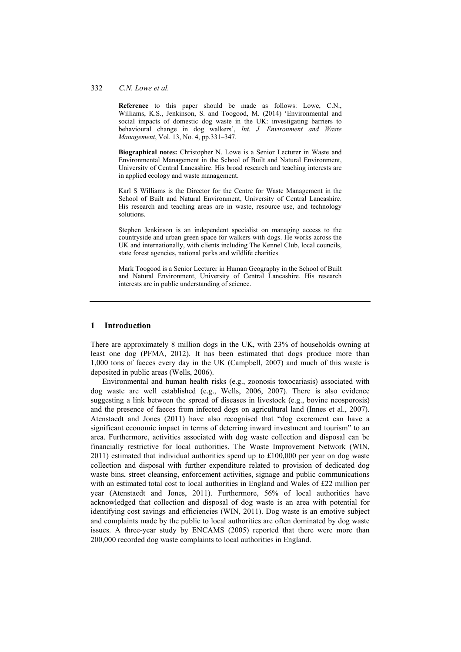**Reference** to this paper should be made as follows: Lowe, C.N., Williams, K.S., Jenkinson, S. and Toogood, M. (2014) 'Environmental and social impacts of domestic dog waste in the UK: investigating barriers to behavioural change in dog walkers', *Int. J. Environment and Waste Management*, Vol. 13, No. 4, pp.331–347.

**Biographical notes:** Christopher N. Lowe is a Senior Lecturer in Waste and Environmental Management in the School of Built and Natural Environment, University of Central Lancashire. His broad research and teaching interests are in applied ecology and waste management.

Karl S Williams is the Director for the Centre for Waste Management in the School of Built and Natural Environment, University of Central Lancashire. His research and teaching areas are in waste, resource use, and technology solutions.

Stephen Jenkinson is an independent specialist on managing access to the countryside and urban green space for walkers with dogs. He works across the UK and internationally, with clients including The Kennel Club, local councils, state forest agencies, national parks and wildlife charities.

Mark Toogood is a Senior Lecturer in Human Geography in the School of Built and Natural Environment, University of Central Lancashire. His research interests are in public understanding of science.

### **1 Introduction**

There are approximately 8 million dogs in the UK, with 23% of households owning at least one dog (PFMA, 2012). It has been estimated that dogs produce more than 1,000 tons of faeces every day in the UK (Campbell, 2007) and much of this waste is deposited in public areas (Wells, 2006).

Environmental and human health risks (e.g., zoonosis toxocariasis) associated with dog waste are well established (e.g., Wells, 2006, 2007). There is also evidence suggesting a link between the spread of diseases in livestock (e.g., bovine neosporosis) and the presence of faeces from infected dogs on agricultural land (Innes et al., 2007). Atenstaedt and Jones (2011) have also recognised that "dog excrement can have a significant economic impact in terms of deterring inward investment and tourism" to an area. Furthermore, activities associated with dog waste collection and disposal can be financially restrictive for local authorities. The Waste Improvement Network (WIN, 2011) estimated that individual authorities spend up to £100,000 per year on dog waste collection and disposal with further expenditure related to provision of dedicated dog waste bins, street cleansing, enforcement activities, signage and public communications with an estimated total cost to local authorities in England and Wales of £22 million per year (Atenstaedt and Jones, 2011). Furthermore, 56% of local authorities have acknowledged that collection and disposal of dog waste is an area with potential for identifying cost savings and efficiencies (WIN, 2011). Dog waste is an emotive subject and complaints made by the public to local authorities are often dominated by dog waste issues. A three-year study by ENCAMS (2005) reported that there were more than 200,000 recorded dog waste complaints to local authorities in England.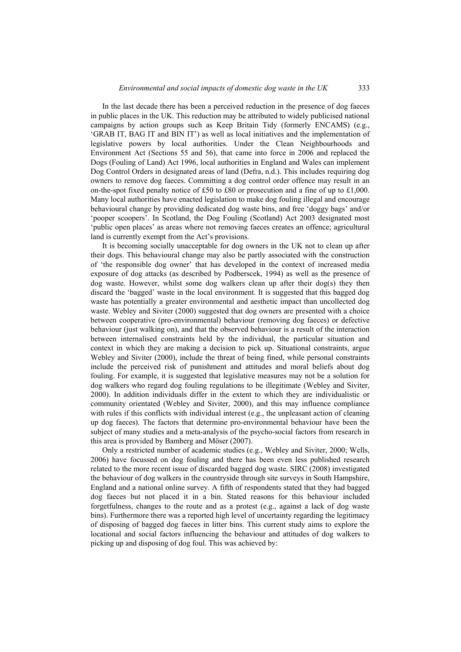In the last decade there has been a perceived reduction in the presence of dog faeces in public places in the UK. This reduction may be attributed to widely publicised national campaigns by action groups such as Keep Britain Tidy (formerly ENCAMS) (e.g., 'GRAB IT, BAG IT and BIN IT') as well as local initiatives and the implementation of legislative powers by local authorities. Under the Clean Neighbourhoods and Environment Act (Sections 55 and 56), that came into force in 2006 and replaced the Dogs (Fouling of Land) Act 1996, local authorities in England and Wales can implement Dog Control Orders in designated areas of land (Defra, n.d.). This includes requiring dog owners to remove dog faeces. Committing a dog control order offence may result in an on-the-spot fixed penalty notice of £50 to £80 or prosecution and a fine of up to £1,000. Many local authorities have enacted legislation to make dog fouling illegal and encourage behavioural change by providing dedicated dog waste bins, and free 'doggy bags' and/or 'pooper scoopers'. In Scotland, the Dog Fouling (Scotland) Act 2003 designated most 'public open places' as areas where not removing faeces creates an offence; agricultural land is currently exempt from the Act's provisions.

It is becoming socially unacceptable for dog owners in the UK not to clean up after their dogs. This behavioural change may also be partly associated with the construction of 'the responsible dog owner' that has developed in the context of increased media exposure of dog attacks (as described by Podberscek, 1994) as well as the presence of dog waste. However, whilst some dog walkers clean up after their dog(s) they then discard the 'bagged' waste in the local environment. It is suggested that this bagged dog waste has potentially a greater environmental and aesthetic impact than uncollected dog waste. Webley and Siviter (2000) suggested that dog owners are presented with a choice between cooperative (pro-environmental) behaviour (removing dog faeces) or defective behaviour (just walking on), and that the observed behaviour is a result of the interaction between internalised constraints held by the individual, the particular situation and context in which they are making a decision to pick up. Situational constraints, argue Webley and Siviter (2000), include the threat of being fined, while personal constraints include the perceived risk of punishment and attitudes and moral beliefs about dog fouling. For example, it is suggested that legislative measures may not be a solution for dog walkers who regard dog fouling regulations to be illegitimate (Webley and Siviter, 2000). In addition individuals differ in the extent to which they are individualistic or community orientated (Webley and Siviter, 2000), and this may influence compliance with rules if this conflicts with individual interest (e.g., the unpleasant action of cleaning up dog faeces). The factors that determine pro-environmental behaviour have been the subject of many studies and a meta-analysis of the psycho-social factors from research in this area is provided by Bamberg and Möser (2007).

Only a restricted number of academic studies (e.g., Webley and Siviter, 2000; Wells, 2006) have focussed on dog fouling and there has been even less published research related to the more recent issue of discarded bagged dog waste. SIRC (2008) investigated the behaviour of dog walkers in the countryside through site surveys in South Hampshire, England and a national online survey. A fifth of respondents stated that they had bagged dog faeces but not placed it in a bin. Stated reasons for this behaviour included forgetfulness, changes to the route and as a protest (e.g., against a lack of dog waste bins). Furthermore there was a reported high level of uncertainty regarding the legitimacy of disposing of bagged dog faeces in litter bins. This current study aims to explore the locational and social factors influencing the behaviour and attitudes of dog walkers to picking up and disposing of dog foul. This was achieved by: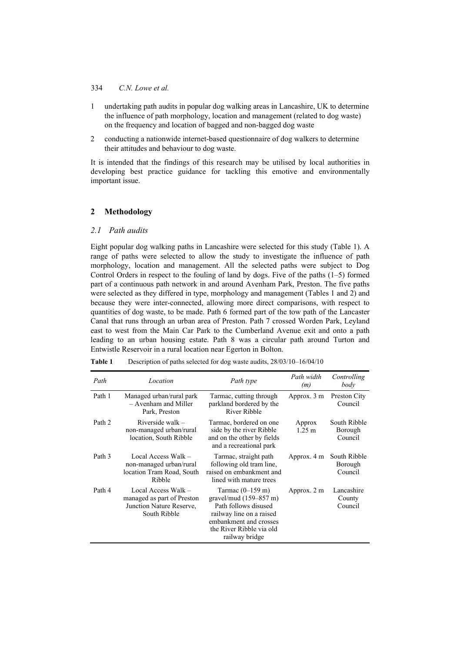- 1 undertaking path audits in popular dog walking areas in Lancashire, UK to determine the influence of path morphology, location and management (related to dog waste) on the frequency and location of bagged and non-bagged dog waste
- 2 conducting a nationwide internet-based questionnaire of dog walkers to determine their attitudes and behaviour to dog waste.

It is intended that the findings of this research may be utilised by local authorities in developing best practice guidance for tackling this emotive and environmentally important issue.

#### **2 Methodology**

#### *2.1 Path audits*

Eight popular dog walking paths in Lancashire were selected for this study (Table 1). A range of paths were selected to allow the study to investigate the influence of path morphology, location and management. All the selected paths were subject to Dog Control Orders in respect to the fouling of land by dogs. Five of the paths (1–5) formed part of a continuous path network in and around Avenham Park, Preston. The five paths were selected as they differed in type, morphology and management (Tables 1 and 2) and because they were inter-connected, allowing more direct comparisons, with respect to quantities of dog waste, to be made. Path 6 formed part of the tow path of the Lancaster Canal that runs through an urban area of Preston. Path 7 crossed Worden Park, Leyland east to west from the Main Car Park to the Cumberland Avenue exit and onto a path leading to an urban housing estate. Path 8 was a circular path around Turton and Entwistle Reservoir in a rural location near Egerton in Bolton.

| Table 1 |  |  |  | Description of paths selected for dog waste audits, 28/03/10-16/04/10 |
|---------|--|--|--|-----------------------------------------------------------------------|
|---------|--|--|--|-----------------------------------------------------------------------|

| Path   | Location                                                                                      | Path type                                                                                                                                                                                  | Path width<br>(m)          | Controlling<br>body                |
|--------|-----------------------------------------------------------------------------------------------|--------------------------------------------------------------------------------------------------------------------------------------------------------------------------------------------|----------------------------|------------------------------------|
| Path 1 | Managed urban/rural park<br>- Avenham and Miller<br>Park, Preston                             | Tarmac, cutting through<br>parkland bordered by the<br>River Ribble                                                                                                                        | Approx. 3 m                | Preston City<br>Council            |
| Path 2 | Riverside walk $-$<br>non-managed urban/rural<br>location, South Ribble                       | Tarmac, bordered on one<br>side by the river Ribble<br>and on the other by fields<br>and a recreational park                                                                               | Approx<br>$1.25 \text{ m}$ | South Ribble<br>Borough<br>Council |
| Path 3 | Local Access Walk –<br>non-managed urban/rural<br>location Tram Road, South<br>Ribble         | Tarmac, straight path<br>following old tram line.<br>raised on embankment and<br>lined with mature trees                                                                                   | Approx. 4 m                | South Ribble<br>Borough<br>Council |
| Path 4 | Local Access Walk –<br>managed as part of Preston<br>Junction Nature Reserve,<br>South Ribble | Tarmac $(0-159 \text{ m})$<br>gravel/mud $(159-857 \text{ m})$<br>Path follows disused<br>railway line on a raised<br>embankment and crosses<br>the River Ribble via old<br>railway bridge | Approx. 2 m                | Lancashire<br>County<br>Council    |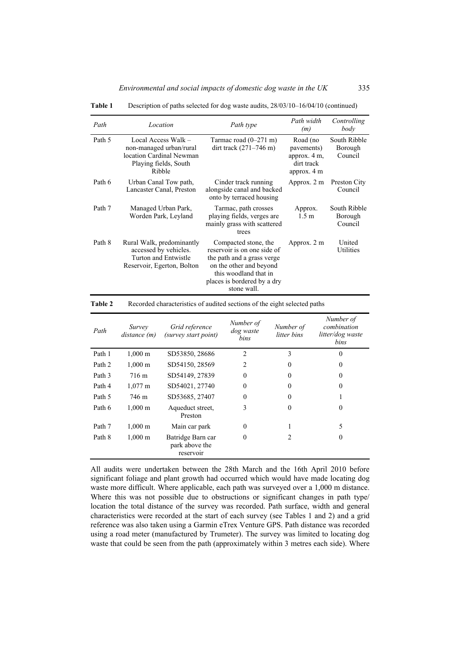| Path   | Location                                                                                                      | Path type                                                                                                                                                                           | Path width<br>(m)                                                   | Controlling<br>body                |
|--------|---------------------------------------------------------------------------------------------------------------|-------------------------------------------------------------------------------------------------------------------------------------------------------------------------------------|---------------------------------------------------------------------|------------------------------------|
| Path 5 | Local Access Walk –<br>non-managed urban/rural<br>location Cardinal Newman<br>Playing fields, South<br>Ribble | Tarmac road $(0-271 \text{ m})$<br>dirt track $(271-746 \text{ m})$                                                                                                                 | Road (no<br>pavements)<br>approx. 4 m,<br>dirt track<br>approx. 4 m | South Ribble<br>Borough<br>Council |
| Path 6 | Urban Canal Tow path,<br>Lancaster Canal, Preston                                                             | Cinder track running<br>alongside canal and backed<br>onto by terraced housing                                                                                                      | Approx. 2 m                                                         | Preston City<br>Council            |
| Path 7 | Managed Urban Park,<br>Worden Park, Leyland                                                                   | Tarmac, path crosses<br>playing fields, verges are<br>mainly grass with scattered<br>trees                                                                                          | Approx.<br>1.5 <sub>m</sub>                                         | South Ribble<br>Borough<br>Council |
| Path 8 | Rural Walk, predominantly<br>accessed by vehicles.<br>Turton and Entwistle<br>Reservoir, Egerton, Bolton      | Compacted stone, the<br>reservoir is on one side of<br>the path and a grass verge<br>on the other and beyond<br>this woodland that in<br>places is bordered by a dry<br>stone wall. | Approx. 2 m                                                         | United<br>Utilities                |

**Table 1** Description of paths selected for dog waste audits, 28/03/10–16/04/10 (continued)

**Table 2** Recorded characteristics of audited sections of the eight selected paths

| Path   | Survey<br>distance(m) | Grid reference<br>(survey start point)           | Number of<br>dog waste<br>bins | Number of<br>litter bins | Number of<br>combination<br>litter/dog waste<br>bins |
|--------|-----------------------|--------------------------------------------------|--------------------------------|--------------------------|------------------------------------------------------|
| Path 1 | $1,000 \; \mathrm{m}$ | SD53850, 28686                                   | $\overline{2}$                 | 3                        | 0                                                    |
| Path 2 | $1,000 \; \mathrm{m}$ | SD54150, 28569                                   | 2                              | $\Omega$                 | $\theta$                                             |
| Path 3 | 716 m                 | SD54149, 27839                                   | $\theta$                       | $\Omega$                 |                                                      |
| Path 4 | $1,077 \; \mathrm{m}$ | SD54021, 27740                                   | $\Omega$                       | 0                        | 0                                                    |
| Path 5 | 746 m                 | SD53685, 27407                                   | $\Omega$                       | $\Omega$                 |                                                      |
| Path 6 | $1,000 \; \mathrm{m}$ | Aqueduct street.<br>Preston                      | 3                              | $\Omega$                 | $_{0}$                                               |
| Path 7 | $1,000 \; \mathrm{m}$ | Main car park                                    | $\theta$                       |                          | 5                                                    |
| Path 8 | $1,000 \; \mathrm{m}$ | Batridge Barn car<br>park above the<br>reservoir | $\theta$                       | 2                        | 0                                                    |

All audits were undertaken between the 28th March and the 16th April 2010 before significant foliage and plant growth had occurred which would have made locating dog waste more difficult. Where applicable, each path was surveyed over a 1,000 m distance. Where this was not possible due to obstructions or significant changes in path type/ location the total distance of the survey was recorded. Path surface, width and general characteristics were recorded at the start of each survey (see Tables 1 and 2) and a grid reference was also taken using a Garmin eTrex Venture GPS. Path distance was recorded using a road meter (manufactured by Trumeter). The survey was limited to locating dog waste that could be seen from the path (approximately within 3 metres each side). Where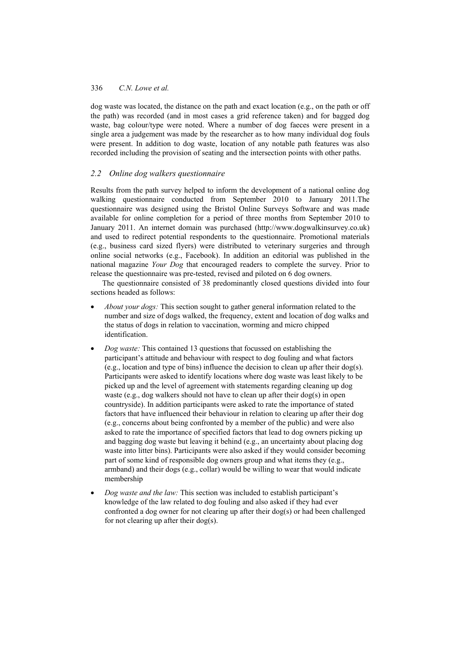dog waste was located, the distance on the path and exact location (e.g., on the path or off the path) was recorded (and in most cases a grid reference taken) and for bagged dog waste, bag colour/type were noted. Where a number of dog faeces were present in a single area a judgement was made by the researcher as to how many individual dog fouls were present. In addition to dog waste, location of any notable path features was also recorded including the provision of seating and the intersection points with other paths.

#### *2.2 Online dog walkers questionnaire*

Results from the path survey helped to inform the development of a national online dog walking questionnaire conducted from September 2010 to January 2011.The questionnaire was designed using the Bristol Online Surveys Software and was made available for online completion for a period of three months from September 2010 to January 2011. An internet domain was purchased (http://www.dogwalkinsurvey.co.uk) and used to redirect potential respondents to the questionnaire. Promotional materials (e.g., business card sized flyers) were distributed to veterinary surgeries and through online social networks (e.g., Facebook). In addition an editorial was published in the national magazine *Your Dog* that encouraged readers to complete the survey. Prior to release the questionnaire was pre-tested, revised and piloted on 6 dog owners.

The questionnaire consisted of 38 predominantly closed questions divided into four sections headed as follows:

- *About your dogs:* This section sought to gather general information related to the number and size of dogs walked, the frequency, extent and location of dog walks and the status of dogs in relation to vaccination, worming and micro chipped identification.
- *Dog waste:* This contained 13 questions that focussed on establishing the participant's attitude and behaviour with respect to dog fouling and what factors (e.g., location and type of bins) influence the decision to clean up after their dog(s). Participants were asked to identify locations where dog waste was least likely to be picked up and the level of agreement with statements regarding cleaning up dog waste (e.g., dog walkers should not have to clean up after their dog(s) in open countryside). In addition participants were asked to rate the importance of stated factors that have influenced their behaviour in relation to clearing up after their dog (e.g., concerns about being confronted by a member of the public) and were also asked to rate the importance of specified factors that lead to dog owners picking up and bagging dog waste but leaving it behind (e.g., an uncertainty about placing dog waste into litter bins). Participants were also asked if they would consider becoming part of some kind of responsible dog owners group and what items they (e.g., armband) and their dogs (e.g., collar) would be willing to wear that would indicate membership
- *Dog waste and the law:* This section was included to establish participant's knowledge of the law related to dog fouling and also asked if they had ever confronted a dog owner for not clearing up after their dog(s) or had been challenged for not clearing up after their dog(s).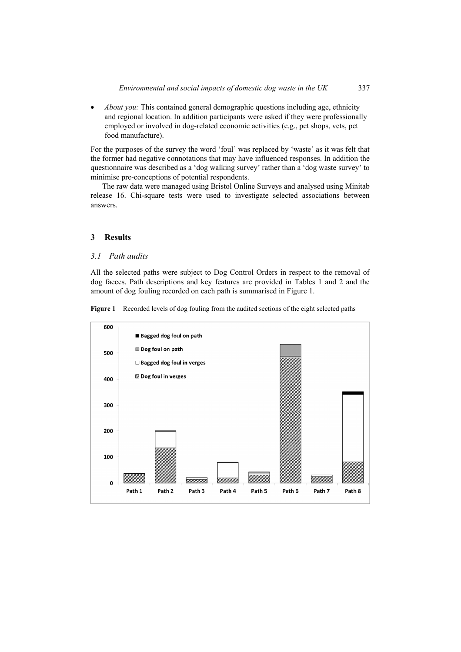• *About you:* This contained general demographic questions including age, ethnicity and regional location. In addition participants were asked if they were professionally employed or involved in dog-related economic activities (e.g., pet shops, vets, pet food manufacture).

For the purposes of the survey the word 'foul' was replaced by 'waste' as it was felt that the former had negative connotations that may have influenced responses. In addition the questionnaire was described as a 'dog walking survey' rather than a 'dog waste survey' to minimise pre-conceptions of potential respondents.

The raw data were managed using Bristol Online Surveys and analysed using Minitab release 16. Chi-square tests were used to investigate selected associations between answers.

### **3 Results**

### *3.1 Path audits*

All the selected paths were subject to Dog Control Orders in respect to the removal of dog faeces. Path descriptions and key features are provided in Tables 1 and 2 and the amount of dog fouling recorded on each path is summarised in Figure 1.

600 Bagged dog foul on path Dog foul on path 500  $\Box$  Bagged dog foul in verges Ø Dog foul in verges 400 300 200 100  $\mathbf 0$ Path 1 Path 2 Path 3 Path 4 Path 5 Path 6 Path 7 Path 8

**Figure 1** Recorded levels of dog fouling from the audited sections of the eight selected paths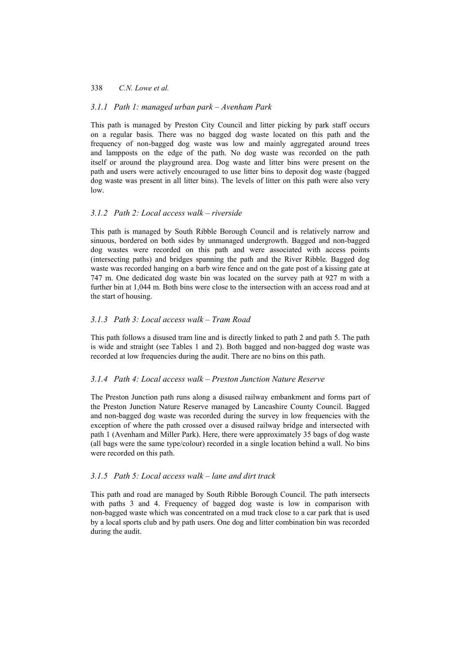#### *3.1.1 Path 1: managed urban park – Avenham Park*

This path is managed by Preston City Council and litter picking by park staff occurs on a regular basis. There was no bagged dog waste located on this path and the frequency of non-bagged dog waste was low and mainly aggregated around trees and lampposts on the edge of the path. No dog waste was recorded on the path itself or around the playground area. Dog waste and litter bins were present on the path and users were actively encouraged to use litter bins to deposit dog waste (bagged dog waste was present in all litter bins). The levels of litter on this path were also very low.

#### *3.1.2 Path 2: Local access walk – riverside*

This path is managed by South Ribble Borough Council and is relatively narrow and sinuous, bordered on both sides by unmanaged undergrowth. Bagged and non-bagged dog wastes were recorded on this path and were associated with access points (intersecting paths) and bridges spanning the path and the River Ribble. Bagged dog waste was recorded hanging on a barb wire fence and on the gate post of a kissing gate at 747 m. One dedicated dog waste bin was located on the survey path at 927 m with a further bin at 1,044 m. Both bins were close to the intersection with an access road and at the start of housing.

#### *3.1.3 Path 3: Local access walk – Tram Road*

This path follows a disused tram line and is directly linked to path 2 and path 5. The path is wide and straight (see Tables 1 and 2). Both bagged and non-bagged dog waste was recorded at low frequencies during the audit. There are no bins on this path.

#### *3.1.4 Path 4: Local access walk – Preston Junction Nature Reserve*

The Preston Junction path runs along a disused railway embankment and forms part of the Preston Junction Nature Reserve managed by Lancashire County Council. Bagged and non-bagged dog waste was recorded during the survey in low frequencies with the exception of where the path crossed over a disused railway bridge and intersected with path 1 (Avenham and Miller Park). Here, there were approximately 35 bags of dog waste (all bags were the same type/colour) recorded in a single location behind a wall. No bins were recorded on this path.

#### *3.1.5 Path 5: Local access walk – lane and dirt track*

This path and road are managed by South Ribble Borough Council. The path intersects with paths 3 and 4. Frequency of bagged dog waste is low in comparison with non-bagged waste which was concentrated on a mud track close to a car park that is used by a local sports club and by path users. One dog and litter combination bin was recorded during the audit.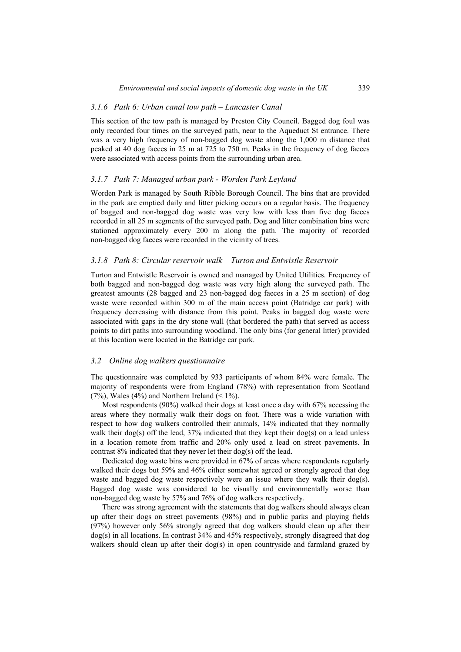#### *3.1.6 Path 6: Urban canal tow path – Lancaster Canal*

This section of the tow path is managed by Preston City Council. Bagged dog foul was only recorded four times on the surveyed path, near to the Aqueduct St entrance. There was a very high frequency of non-bagged dog waste along the 1,000 m distance that peaked at 40 dog faeces in 25 m at 725 to 750 m. Peaks in the frequency of dog faeces were associated with access points from the surrounding urban area.

#### *3.1.7 Path 7: Managed urban park - Worden Park Leyland*

Worden Park is managed by South Ribble Borough Council. The bins that are provided in the park are emptied daily and litter picking occurs on a regular basis. The frequency of bagged and non-bagged dog waste was very low with less than five dog faeces recorded in all 25 m segments of the surveyed path. Dog and litter combination bins were stationed approximately every 200 m along the path. The majority of recorded non-bagged dog faeces were recorded in the vicinity of trees.

#### *3.1.8 Path 8: Circular reservoir walk – Turton and Entwistle Reservoir*

Turton and Entwistle Reservoir is owned and managed by United Utilities. Frequency of both bagged and non-bagged dog waste was very high along the surveyed path. The greatest amounts (28 bagged and 23 non-bagged dog faeces in a 25 m section) of dog waste were recorded within 300 m of the main access point (Batridge car park) with frequency decreasing with distance from this point. Peaks in bagged dog waste were associated with gaps in the dry stone wall (that bordered the path) that served as access points to dirt paths into surrounding woodland. The only bins (for general litter) provided at this location were located in the Batridge car park.

### *3.2 Online dog walkers questionnaire*

The questionnaire was completed by 933 participants of whom 84% were female. The majority of respondents were from England (78%) with representation from Scotland  $(7\%)$ , Wales  $(4\%)$  and Northern Ireland  $(1\%)$ .

Most respondents (90%) walked their dogs at least once a day with 67% accessing the areas where they normally walk their dogs on foot. There was a wide variation with respect to how dog walkers controlled their animals, 14% indicated that they normally walk their dog(s) off the lead,  $37\%$  indicated that they kept their dog(s) on a lead unless in a location remote from traffic and 20% only used a lead on street pavements. In contrast 8% indicated that they never let their dog(s) off the lead.

Dedicated dog waste bins were provided in 67% of areas where respondents regularly walked their dogs but 59% and 46% either somewhat agreed or strongly agreed that dog waste and bagged dog waste respectively were an issue where they walk their dog(s). Bagged dog waste was considered to be visually and environmentally worse than non-bagged dog waste by 57% and 76% of dog walkers respectively.

There was strong agreement with the statements that dog walkers should always clean up after their dogs on street pavements (98%) and in public parks and playing fields (97%) however only 56% strongly agreed that dog walkers should clean up after their dog(s) in all locations. In contrast 34% and 45% respectively, strongly disagreed that dog walkers should clean up after their dog(s) in open countryside and farmland grazed by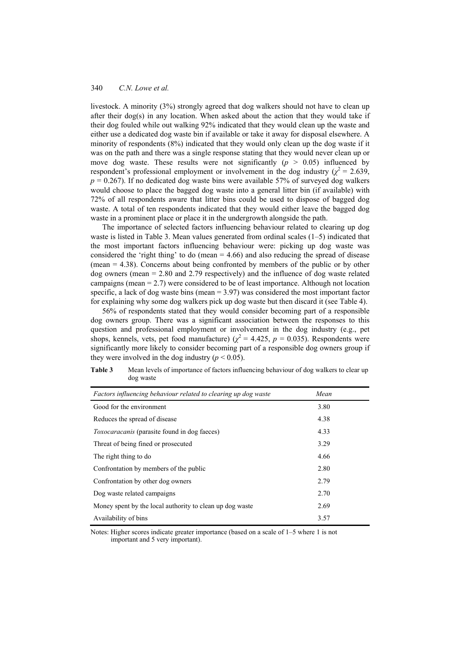livestock. A minority (3%) strongly agreed that dog walkers should not have to clean up after their dog(s) in any location. When asked about the action that they would take if their dog fouled while out walking 92% indicated that they would clean up the waste and either use a dedicated dog waste bin if available or take it away for disposal elsewhere. A minority of respondents (8%) indicated that they would only clean up the dog waste if it was on the path and there was a single response stating that they would never clean up or move dog waste. These results were not significantly  $(p > 0.05)$  influenced by respondent's professional employment or involvement in the dog industry ( $\chi^2$  = 2.639,  $p = 0.267$ ). If no dedicated dog waste bins were available 57% of surveyed dog walkers would choose to place the bagged dog waste into a general litter bin (if available) with 72% of all respondents aware that litter bins could be used to dispose of bagged dog waste. A total of ten respondents indicated that they would either leave the bagged dog waste in a prominent place or place it in the undergrowth alongside the path.

The importance of selected factors influencing behaviour related to clearing up dog waste is listed in Table 3. Mean values generated from ordinal scales  $(1-5)$  indicated that the most important factors influencing behaviour were: picking up dog waste was considered the 'right thing' to do (mean  $= 4.66$ ) and also reducing the spread of disease  $(mean = 4.38)$ . Concerns about being confronted by members of the public or by other dog owners (mean = 2.80 and 2.79 respectively) and the influence of dog waste related campaigns (mean = 2.7) were considered to be of least importance. Although not location specific, a lack of dog waste bins (mean = 3.97) was considered the most important factor for explaining why some dog walkers pick up dog waste but then discard it (see Table 4).

56% of respondents stated that they would consider becoming part of a responsible dog owners group. There was a significant association between the responses to this question and professional employment or involvement in the dog industry (e.g., pet shops, kennels, vets, pet food manufacture)  $(\chi^2 = 4.425, p = 0.035)$ . Respondents were significantly more likely to consider becoming part of a responsible dog owners group if they were involved in the dog industry  $(p < 0.05)$ .

| Factors influencing behaviour related to clearing up dog waste | Mean |  |
|----------------------------------------------------------------|------|--|
| Good for the environment                                       | 3.80 |  |
| Reduces the spread of disease                                  | 4.38 |  |
| <i>Toxocaracanis</i> (parasite found in dog faeces)            | 4.33 |  |
| Threat of being fined or prosecuted                            | 3.29 |  |
| The right thing to do                                          | 4.66 |  |
| Confrontation by members of the public                         | 2.80 |  |
| Confrontation by other dog owners                              | 2.79 |  |
| Dog waste related campaigns                                    | 2.70 |  |
| Money spent by the local authority to clean up dog waste       | 2.69 |  |
| Availability of bins                                           | 3.57 |  |

**Table 3** Mean levels of importance of factors influencing behaviour of dog walkers to clear up dog waste

Notes: Higher scores indicate greater importance (based on a scale of 1–5 where 1 is not important and 5 very important).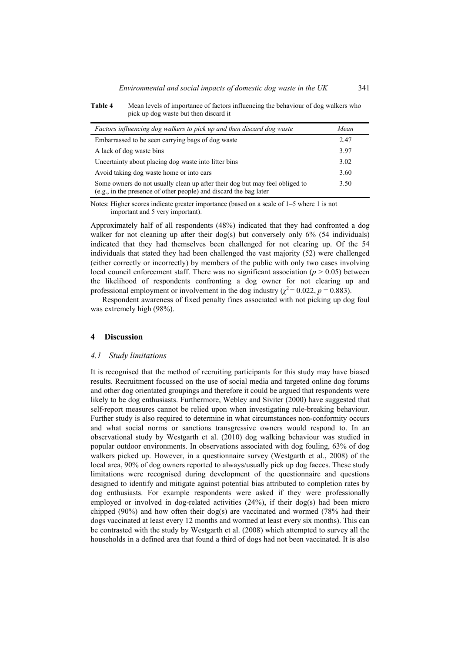| Table 4 | Mean levels of importance of factors influencing the behaviour of dog walkers who |
|---------|-----------------------------------------------------------------------------------|
|         | pick up dog waste but then discard it                                             |

| Factors influencing dog walkers to pick up and then discard dog waste                                                                            | Mean |
|--------------------------------------------------------------------------------------------------------------------------------------------------|------|
| Embarrassed to be seen carrying bags of dog waste                                                                                                | 2.47 |
| A lack of dog waste bins                                                                                                                         | 3.97 |
| Uncertainty about placing dog waste into litter bins                                                                                             | 3.02 |
| Avoid taking dog waste home or into cars                                                                                                         | 3.60 |
| Some owners do not usually clean up after their dog but may feel obliged to<br>(e.g., in the presence of other people) and discard the bag later | 3.50 |

Notes: Higher scores indicate greater importance (based on a scale of 1–5 where 1 is not important and 5 very important).

Approximately half of all respondents (48%) indicated that they had confronted a dog walker for not cleaning up after their dog(s) but conversely only  $6\%$  (54 individuals) indicated that they had themselves been challenged for not clearing up. Of the 54 individuals that stated they had been challenged the vast majority (52) were challenged (either correctly or incorrectly) by members of the public with only two cases involving local council enforcement staff. There was no significant association ( $p > 0.05$ ) between the likelihood of respondents confronting a dog owner for not clearing up and professional employment or involvement in the dog industry ( $\chi^2$  = 0.022, *p* = 0.883).

Respondent awareness of fixed penalty fines associated with not picking up dog foul was extremely high (98%).

#### **4 Discussion**

#### *4.1 Study limitations*

It is recognised that the method of recruiting participants for this study may have biased results. Recruitment focussed on the use of social media and targeted online dog forums and other dog orientated groupings and therefore it could be argued that respondents were likely to be dog enthusiasts. Furthermore, Webley and Siviter (2000) have suggested that self-report measures cannot be relied upon when investigating rule-breaking behaviour. Further study is also required to determine in what circumstances non-conformity occurs and what social norms or sanctions transgressive owners would respond to. In an observational study by Westgarth et al. (2010) dog walking behaviour was studied in popular outdoor environments. In observations associated with dog fouling, 63% of dog walkers picked up. However, in a questionnaire survey (Westgarth et al., 2008) of the local area, 90% of dog owners reported to always/usually pick up dog faeces. These study limitations were recognised during development of the questionnaire and questions designed to identify and mitigate against potential bias attributed to completion rates by dog enthusiasts. For example respondents were asked if they were professionally employed or involved in dog-related activities (24%), if their dog(s) had been micro chipped (90%) and how often their dog(s) are vaccinated and wormed (78% had their dogs vaccinated at least every 12 months and wormed at least every six months). This can be contrasted with the study by Westgarth et al. (2008) which attempted to survey all the households in a defined area that found a third of dogs had not been vaccinated. It is also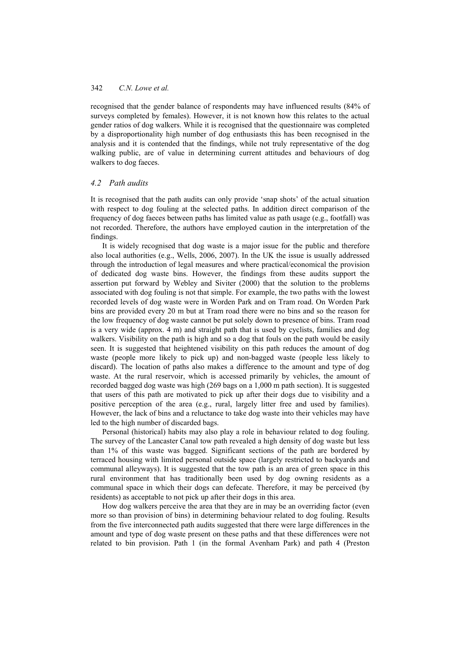recognised that the gender balance of respondents may have influenced results (84% of surveys completed by females). However, it is not known how this relates to the actual gender ratios of dog walkers. While it is recognised that the questionnaire was completed by a disproportionality high number of dog enthusiasts this has been recognised in the analysis and it is contended that the findings, while not truly representative of the dog walking public, are of value in determining current attitudes and behaviours of dog walkers to dog faeces.

## *4.2 Path audits*

It is recognised that the path audits can only provide 'snap shots' of the actual situation with respect to dog fouling at the selected paths. In addition direct comparison of the frequency of dog faeces between paths has limited value as path usage (e.g., footfall) was not recorded. Therefore, the authors have employed caution in the interpretation of the findings.

It is widely recognised that dog waste is a major issue for the public and therefore also local authorities (e.g., Wells, 2006, 2007). In the UK the issue is usually addressed through the introduction of legal measures and where practical/economical the provision of dedicated dog waste bins. However, the findings from these audits support the assertion put forward by Webley and Siviter (2000) that the solution to the problems associated with dog fouling is not that simple. For example, the two paths with the lowest recorded levels of dog waste were in Worden Park and on Tram road. On Worden Park bins are provided every 20 m but at Tram road there were no bins and so the reason for the low frequency of dog waste cannot be put solely down to presence of bins. Tram road is a very wide (approx. 4 m) and straight path that is used by cyclists, families and dog walkers. Visibility on the path is high and so a dog that fouls on the path would be easily seen. It is suggested that heightened visibility on this path reduces the amount of dog waste (people more likely to pick up) and non-bagged waste (people less likely to discard). The location of paths also makes a difference to the amount and type of dog waste. At the rural reservoir, which is accessed primarily by vehicles, the amount of recorded bagged dog waste was high (269 bags on a 1,000 m path section). It is suggested that users of this path are motivated to pick up after their dogs due to visibility and a positive perception of the area (e.g., rural, largely litter free and used by families). However, the lack of bins and a reluctance to take dog waste into their vehicles may have led to the high number of discarded bags.

Personal (historical) habits may also play a role in behaviour related to dog fouling. The survey of the Lancaster Canal tow path revealed a high density of dog waste but less than 1% of this waste was bagged. Significant sections of the path are bordered by terraced housing with limited personal outside space (largely restricted to backyards and communal alleyways). It is suggested that the tow path is an area of green space in this rural environment that has traditionally been used by dog owning residents as a communal space in which their dogs can defecate. Therefore, it may be perceived (by residents) as acceptable to not pick up after their dogs in this area.

How dog walkers perceive the area that they are in may be an overriding factor (even more so than provision of bins) in determining behaviour related to dog fouling. Results from the five interconnected path audits suggested that there were large differences in the amount and type of dog waste present on these paths and that these differences were not related to bin provision. Path 1 (in the formal Avenham Park) and path 4 (Preston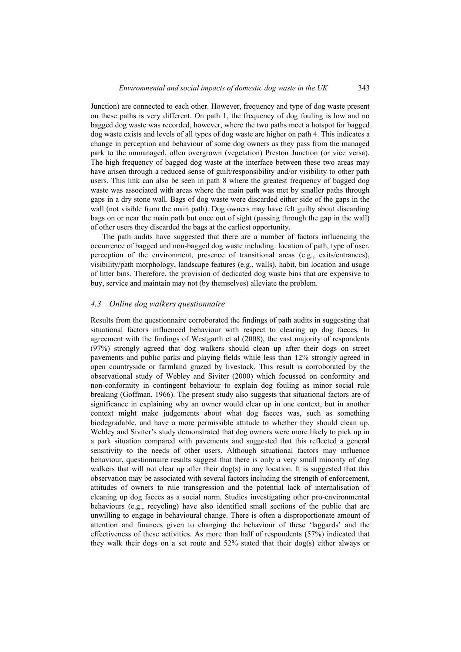Junction) are connected to each other. However, frequency and type of dog waste present on these paths is very different. On path 1, the frequency of dog fouling is low and no bagged dog waste was recorded, however, where the two paths meet a hotspot for bagged dog waste exists and levels of all types of dog waste are higher on path 4. This indicates a change in perception and behaviour of some dog owners as they pass from the managed park to the unmanaged, often overgrown (vegetation) Preston Junction (or vice versa). The high frequency of bagged dog waste at the interface between these two areas may have arisen through a reduced sense of guilt/responsibility and/or visibility to other path users. This link can also be seen in path 8 where the greatest frequency of bagged dog waste was associated with areas where the main path was met by smaller paths through gaps in a dry stone wall. Bags of dog waste were discarded either side of the gaps in the wall (not visible from the main path). Dog owners may have felt guilty about discarding bags on or near the main path but once out of sight (passing through the gap in the wall) of other users they discarded the bags at the earliest opportunity.

The path audits have suggested that there are a number of factors influencing the occurrence of bagged and non-bagged dog waste including: location of path, type of user, perception of the environment, presence of transitional areas (e.g., exits/entrances), visibility/path morphology, landscape features (e.g., walls), habit, bin location and usage of litter bins. Therefore, the provision of dedicated dog waste bins that are expensive to buy, service and maintain may not (by themselves) alleviate the problem.

#### *4.3 Online dog walkers questionnaire*

Results from the questionnaire corroborated the findings of path audits in suggesting that situational factors influenced behaviour with respect to clearing up dog faeces. In agreement with the findings of Westgarth et al (2008), the vast majority of respondents (97%) strongly agreed that dog walkers should clean up after their dogs on street pavements and public parks and playing fields while less than 12% strongly agreed in open countryside or farmland grazed by livestock. This result is corroborated by the observational study of Webley and Siviter (2000) which focussed on conformity and non-conformity in contingent behaviour to explain dog fouling as minor social rule breaking (Goffman, 1966). The present study also suggests that situational factors are of significance in explaining why an owner would clear up in one context, but in another context might make judgements about what dog faeces was, such as something biodegradable, and have a more permissible attitude to whether they should clean up. Webley and Siviter's study demonstrated that dog owners were more likely to pick up in a park situation compared with pavements and suggested that this reflected a general sensitivity to the needs of other users. Although situational factors may influence behaviour, questionnaire results suggest that there is only a very small minority of dog walkers that will not clear up after their dog(s) in any location. It is suggested that this observation may be associated with several factors including the strength of enforcement, attitudes of owners to rule transgression and the potential lack of internalisation of cleaning up dog faeces as a social norm. Studies investigating other pro-environmental behaviours (e.g., recycling) have also identified small sections of the public that are unwilling to engage in behavioural change. There is often a disproportionate amount of attention and finances given to changing the behaviour of these 'laggards' and the effectiveness of these activities. As more than half of respondents (57%) indicated that they walk their dogs on a set route and 52% stated that their dog(s) either always or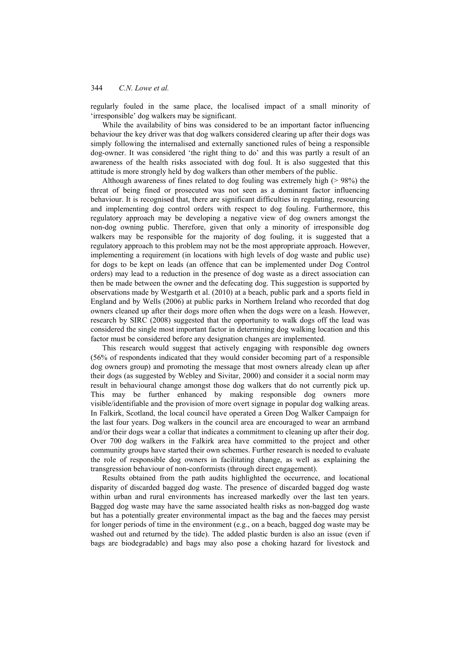regularly fouled in the same place, the localised impact of a small minority of 'irresponsible' dog walkers may be significant.

While the availability of bins was considered to be an important factor influencing behaviour the key driver was that dog walkers considered clearing up after their dogs was simply following the internalised and externally sanctioned rules of being a responsible dog-owner. It was considered 'the right thing to do' and this was partly a result of an awareness of the health risks associated with dog foul. It is also suggested that this attitude is more strongly held by dog walkers than other members of the public.

Although awareness of fines related to dog fouling was extremely high (> 98%) the threat of being fined or prosecuted was not seen as a dominant factor influencing behaviour. It is recognised that, there are significant difficulties in regulating, resourcing and implementing dog control orders with respect to dog fouling. Furthermore, this regulatory approach may be developing a negative view of dog owners amongst the non-dog owning public. Therefore, given that only a minority of irresponsible dog walkers may be responsible for the majority of dog fouling, it is suggested that a regulatory approach to this problem may not be the most appropriate approach. However, implementing a requirement (in locations with high levels of dog waste and public use) for dogs to be kept on leads (an offence that can be implemented under Dog Control orders) may lead to a reduction in the presence of dog waste as a direct association can then be made between the owner and the defecating dog. This suggestion is supported by observations made by Westgarth et al. (2010) at a beach, public park and a sports field in England and by Wells (2006) at public parks in Northern Ireland who recorded that dog owners cleaned up after their dogs more often when the dogs were on a leash. However, research by SIRC (2008) suggested that the opportunity to walk dogs off the lead was considered the single most important factor in determining dog walking location and this factor must be considered before any designation changes are implemented.

This research would suggest that actively engaging with responsible dog owners (56% of respondents indicated that they would consider becoming part of a responsible dog owners group) and promoting the message that most owners already clean up after their dogs (as suggested by Webley and Sivitar, 2000) and consider it a social norm may result in behavioural change amongst those dog walkers that do not currently pick up. This may be further enhanced by making responsible dog owners more visible/identifiable and the provision of more overt signage in popular dog walking areas. In Falkirk, Scotland, the local council have operated a Green Dog Walker Campaign for the last four years. Dog walkers in the council area are encouraged to wear an armband and/or their dogs wear a collar that indicates a commitment to cleaning up after their dog. Over 700 dog walkers in the Falkirk area have committed to the project and other community groups have started their own schemes. Further research is needed to evaluate the role of responsible dog owners in facilitating change, as well as explaining the transgression behaviour of non-conformists (through direct engagement).

Results obtained from the path audits highlighted the occurrence, and locational disparity of discarded bagged dog waste. The presence of discarded bagged dog waste within urban and rural environments has increased markedly over the last ten years. Bagged dog waste may have the same associated health risks as non-bagged dog waste but has a potentially greater environmental impact as the bag and the faeces may persist for longer periods of time in the environment (e.g., on a beach, bagged dog waste may be washed out and returned by the tide). The added plastic burden is also an issue (even if bags are biodegradable) and bags may also pose a choking hazard for livestock and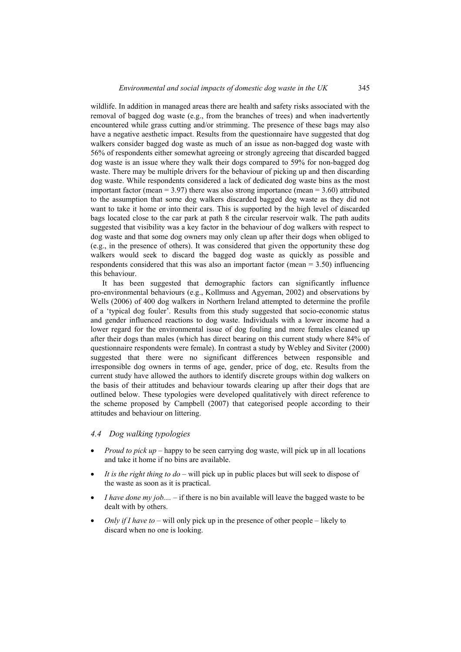wildlife. In addition in managed areas there are health and safety risks associated with the removal of bagged dog waste (e.g., from the branches of trees) and when inadvertently encountered while grass cutting and/or strimming. The presence of these bags may also have a negative aesthetic impact. Results from the questionnaire have suggested that dog walkers consider bagged dog waste as much of an issue as non-bagged dog waste with 56% of respondents either somewhat agreeing or strongly agreeing that discarded bagged dog waste is an issue where they walk their dogs compared to 59% for non-bagged dog waste. There may be multiple drivers for the behaviour of picking up and then discarding dog waste. While respondents considered a lack of dedicated dog waste bins as the most important factor (mean =  $3.97$ ) there was also strong importance (mean =  $3.60$ ) attributed to the assumption that some dog walkers discarded bagged dog waste as they did not want to take it home or into their cars. This is supported by the high level of discarded bags located close to the car park at path 8 the circular reservoir walk. The path audits suggested that visibility was a key factor in the behaviour of dog walkers with respect to dog waste and that some dog owners may only clean up after their dogs when obliged to (e.g., in the presence of others). It was considered that given the opportunity these dog walkers would seek to discard the bagged dog waste as quickly as possible and respondents considered that this was also an important factor (mean = 3.50) influencing this behaviour.

It has been suggested that demographic factors can significantly influence pro-environmental behaviours (e.g., Kollmuss and Agyeman, 2002) and observations by Wells (2006) of 400 dog walkers in Northern Ireland attempted to determine the profile of a 'typical dog fouler'. Results from this study suggested that socio-economic status and gender influenced reactions to dog waste. Individuals with a lower income had a lower regard for the environmental issue of dog fouling and more females cleaned up after their dogs than males (which has direct bearing on this current study where 84% of questionnaire respondents were female). In contrast a study by Webley and Siviter (2000) suggested that there were no significant differences between responsible and irresponsible dog owners in terms of age, gender, price of dog, etc. Results from the current study have allowed the authors to identify discrete groups within dog walkers on the basis of their attitudes and behaviour towards clearing up after their dogs that are outlined below. These typologies were developed qualitatively with direct reference to the scheme proposed by Campbell (2007) that categorised people according to their attitudes and behaviour on littering.

#### *4.4 Dog walking typologies*

- *Proud to pick up* happy to be seen carrying dog waste, will pick up in all locations and take it home if no bins are available.
- *It is the right thing to do* will pick up in public places but will seek to dispose of the waste as soon as it is practical.
- *I have done my job....* if there is no bin available will leave the bagged waste to be dealt with by others.
- *Only if I have to* will only pick up in the presence of other people likely to discard when no one is looking.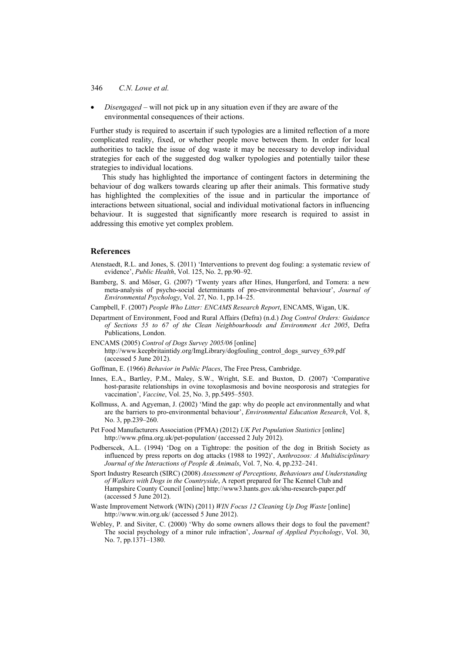• *Disengaged* – will not pick up in any situation even if they are aware of the environmental consequences of their actions.

Further study is required to ascertain if such typologies are a limited reflection of a more complicated reality, fixed, or whether people move between them. In order for local authorities to tackle the issue of dog waste it may be necessary to develop individual strategies for each of the suggested dog walker typologies and potentially tailor these strategies to individual locations.

This study has highlighted the importance of contingent factors in determining the behaviour of dog walkers towards clearing up after their animals. This formative study has highlighted the complexities of the issue and in particular the importance of interactions between situational, social and individual motivational factors in influencing behaviour. It is suggested that significantly more research is required to assist in addressing this emotive yet complex problem.

### **References**

- Atenstaedt, R.L. and Jones, S. (2011) 'Interventions to prevent dog fouling: a systematic review of evidence', *Public Health*, Vol. 125, No. 2, pp.90–92.
- Bamberg, S. and Möser, G. (2007) 'Twenty years after Hines, Hungerford, and Tomera: a new meta-analysis of psycho-social determinants of pro-environmental behaviour', *Journal of Environmental Psychology*, Vol. 27, No. 1, pp.14–25.
- Campbell, F. (2007) *People Who Litter: ENCAMS Research Report*, ENCAMS, Wigan, UK.
- Department of Environment, Food and Rural Affairs (Defra) (n.d.) *Dog Control Orders: Guidance of Sections 55 to 67 of the Clean Neighbourhoods and Environment Act 2005*, Defra Publications, London.
- ENCAMS (2005) *Control of Dogs Survey 2005/06* [online] http://www.keepbritaintidy.org/ImgLibrary/dogfouling\_control\_dogs\_survey\_639.pdf (accessed 5 June 2012).
- Goffman, E. (1966) *Behavior in Public Places*, The Free Press, Cambridge.
- Innes, E.A., Bartley, P.M., Maley, S.W., Wright, S.E. and Buxton, D. (2007) 'Comparative host-parasite relationships in ovine toxoplasmosis and bovine neosporosis and strategies for vaccination', *Vaccine*, Vol. 25, No. 3, pp.5495–5503.
- Kollmuss, A. and Agyeman, J. (2002) 'Mind the gap: why do people act environmentally and what are the barriers to pro-environmental behaviour', *Environmental Education Research*, Vol. 8, No. 3, pp.239–260.
- Pet Food Manufacturers Association (PFMA) (2012) *UK Pet Population Statistics* [online] http://www.pfma.org.uk/pet-population/ (accessed 2 July 2012).
- Podberscek, A.L. (1994) 'Dog on a Tightrope: the position of the dog in British Society as influenced by press reports on dog attacks (1988 to 1992)', A*nthrozoos: A Multidisciplinary Journal of the Interactions of People & Animals*, Vol. 7, No. 4, pp.232–241.
- Sport Industry Research (SIRC) (2008) *Assessment of Perceptions, Behaviours and Understanding of Walkers with Dogs in the Countryside*, A report prepared for The Kennel Club and Hampshire County Council [online] http://www3.hants.gov.uk/shu-research-paper.pdf (accessed 5 June 2012).
- Waste Improvement Network (WIN) (2011) *WIN Focus 12 Cleaning Up Dog Waste* [online] http://www.win.org.uk/ (accessed 5 June 2012).
- Webley, P. and Siviter, C. (2000) 'Why do some owners allows their dogs to foul the pavement? The social psychology of a minor rule infraction', *Journal of Applied Psychology*, Vol. 30, No. 7, pp.1371–1380.